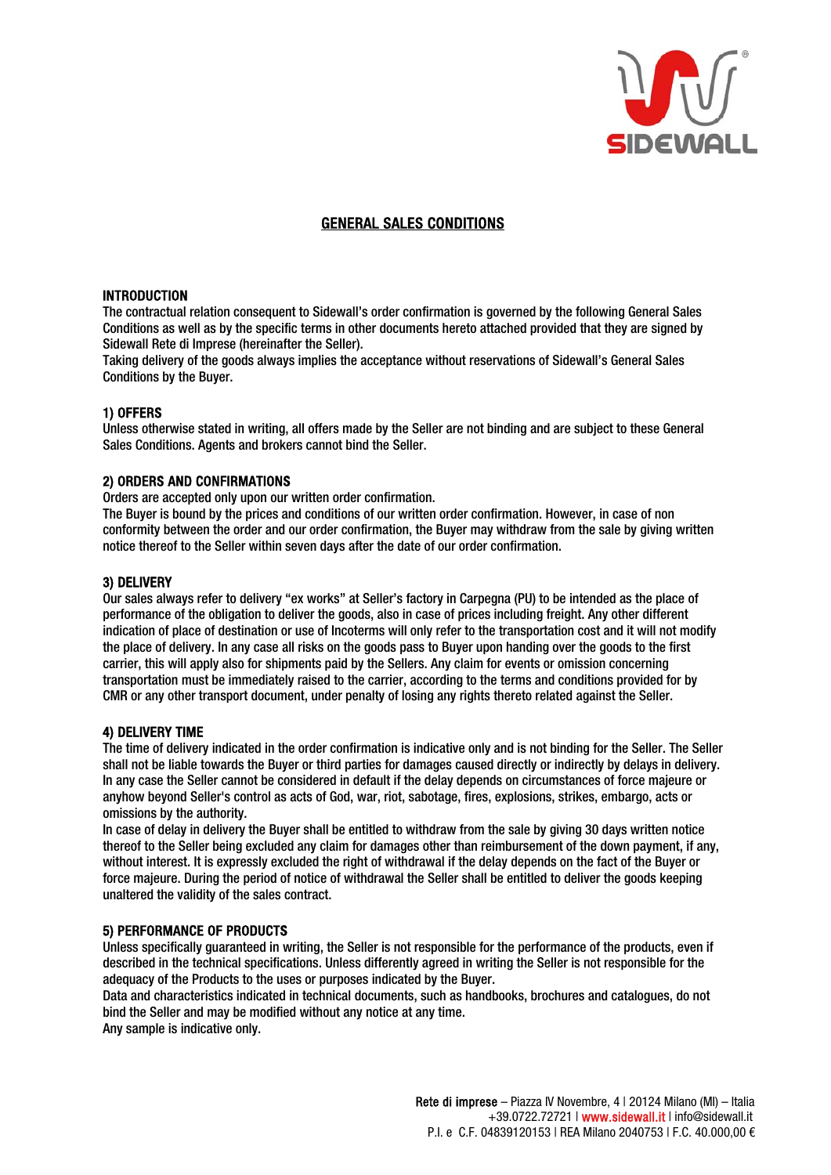

# GENERAL SALES CONDITIONS

# INTRODUCTION

The contractual relation consequent to Sidewall's order confirmation is governed by the following General Sales Conditions as well as by the specific terms in other documents hereto attached provided that they are signed by Sidewall Rete di Imprese (hereinafter the Seller).

Taking delivery of the goods always implies the acceptance without reservations of Sidewall's General Sales Conditions by the Buyer.

#### 1) OFFERS

Unless otherwise stated in writing, all offers made by the Seller are not binding and are subject to these General Sales Conditions. Agents and brokers cannot bind the Seller.

# 2) ORDERS AND CONFIRMATIONS

Orders are accepted only upon our written order confirmation.

The Buyer is bound by the prices and conditions of our written order confirmation. However, in case of non conformity between the order and our order confirmation, the Buyer may withdraw from the sale by giving written notice thereof to the Seller within seven days after the date of our order confirmation.

### 3) DELIVERY

Our sales always refer to delivery "ex works" at Seller's factory in Carpegna (PU) to be intended as the place of performance of the obligation to deliver the goods, also in case of prices including freight. Any other different indication of place of destination or use of Incoterms will only refer to the transportation cost and it will not modify the place of delivery. In any case all risks on the goods pass to Buyer upon handing over the goods to the first carrier, this will apply also for shipments paid by the Sellers. Any claim for events or omission concerning transportation must be immediately raised to the carrier, according to the terms and conditions provided for by CMR or any other transport document, under penalty of losing any rights thereto related against the Seller.

#### 4) DELIVERY TIME

The time of delivery indicated in the order confirmation is indicative only and is not binding for the Seller. The Seller shall not be liable towards the Buyer or third parties for damages caused directly or indirectly by delays in delivery. In any case the Seller cannot be considered in default if the delay depends on circumstances of force majeure or anyhow beyond Seller's control as acts of God, war, riot, sabotage, fires, explosions, strikes, embargo, acts or omissions by the authority.

In case of delay in delivery the Buyer shall be entitled to withdraw from the sale by giving 30 days written notice thereof to the Seller being excluded any claim for damages other than reimbursement of the down payment, if any, without interest. It is expressly excluded the right of withdrawal if the delay depends on the fact of the Buyer or force majeure. During the period of notice of withdrawal the Seller shall be entitled to deliver the goods keeping unaltered the validity of the sales contract.

### 5) PERFORMANCE OF PRODUCTS

Unless specifically guaranteed in writing, the Seller is not responsible for the performance of the products, even if described in the technical specifications. Unless differently agreed in writing the Seller is not responsible for the adequacy of the Products to the uses or purposes indicated by the Buyer.

Data and characteristics indicated in technical documents, such as handbooks, brochures and catalogues, do not bind the Seller and may be modified without any notice at any time.

Any sample is indicative only.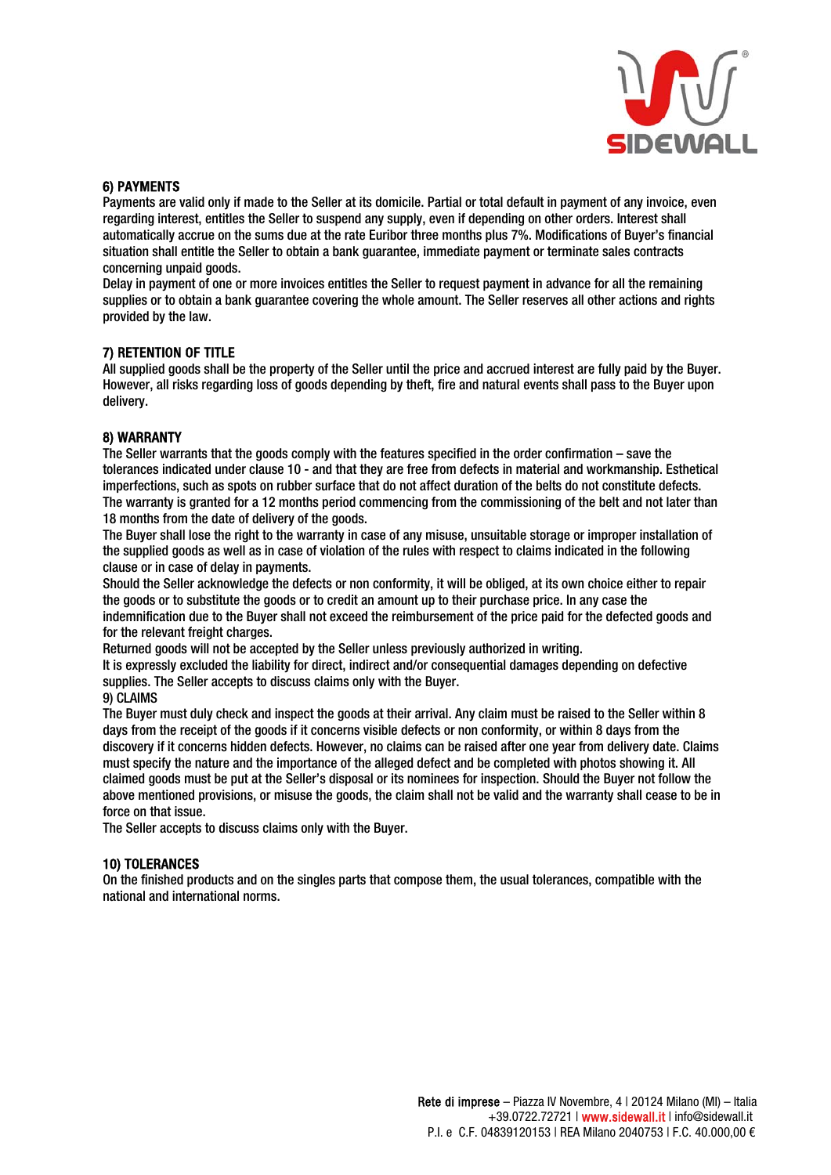

# 6) PAYMENTS

Payments are valid only if made to the Seller at its domicile. Partial or total default in payment of any invoice, even regarding interest, entitles the Seller to suspend any supply, even if depending on other orders. Interest shall automatically accrue on the sums due at the rate Euribor three months plus 7%. Modifications of Buyer's financial situation shall entitle the Seller to obtain a bank guarantee, immediate payment or terminate sales contracts concerning unpaid goods.

Delay in payment of one or more invoices entitles the Seller to request payment in advance for all the remaining supplies or to obtain a bank guarantee covering the whole amount. The Seller reserves all other actions and rights provided by the law.

# 7) RETENTION OF TITLE

All supplied goods shall be the property of the Seller until the price and accrued interest are fully paid by the Buyer. However, all risks regarding loss of goods depending by theft, fire and natural events shall pass to the Buyer upon delivery.

#### 8) WARRANTY

The Seller warrants that the goods comply with the features specified in the order confirmation – save the tolerances indicated under clause 10 - and that they are free from defects in material and workmanship. Esthetical imperfections, such as spots on rubber surface that do not affect duration of the belts do not constitute defects. The warranty is granted for a 12 months period commencing from the commissioning of the belt and not later than 18 months from the date of delivery of the goods.

The Buyer shall lose the right to the warranty in case of any misuse, unsuitable storage or improper installation of the supplied goods as well as in case of violation of the rules with respect to claims indicated in the following clause or in case of delay in payments.

Should the Seller acknowledge the defects or non conformity, it will be obliged, at its own choice either to repair the goods or to substitute the goods or to credit an amount up to their purchase price. In any case the indemnification due to the Buyer shall not exceed the reimbursement of the price paid for the defected goods and for the relevant freight charges.

Returned goods will not be accepted by the Seller unless previously authorized in writing.

It is expressly excluded the liability for direct, indirect and/or consequential damages depending on defective supplies. The Seller accepts to discuss claims only with the Buyer.

9) CLAIMS

The Buyer must duly check and inspect the goods at their arrival. Any claim must be raised to the Seller within 8 days from the receipt of the goods if it concerns visible defects or non conformity, or within 8 days from the discovery if it concerns hidden defects. However, no claims can be raised after one year from delivery date. Claims must specify the nature and the importance of the alleged defect and be completed with photos showing it. All claimed goods must be put at the Seller's disposal or its nominees for inspection. Should the Buyer not follow the above mentioned provisions, or misuse the goods, the claim shall not be valid and the warranty shall cease to be in force on that issue.

The Seller accepts to discuss claims only with the Buyer.

# 10) TOLERANCES

On the finished products and on the singles parts that compose them, the usual tolerances, compatible with the national and international norms.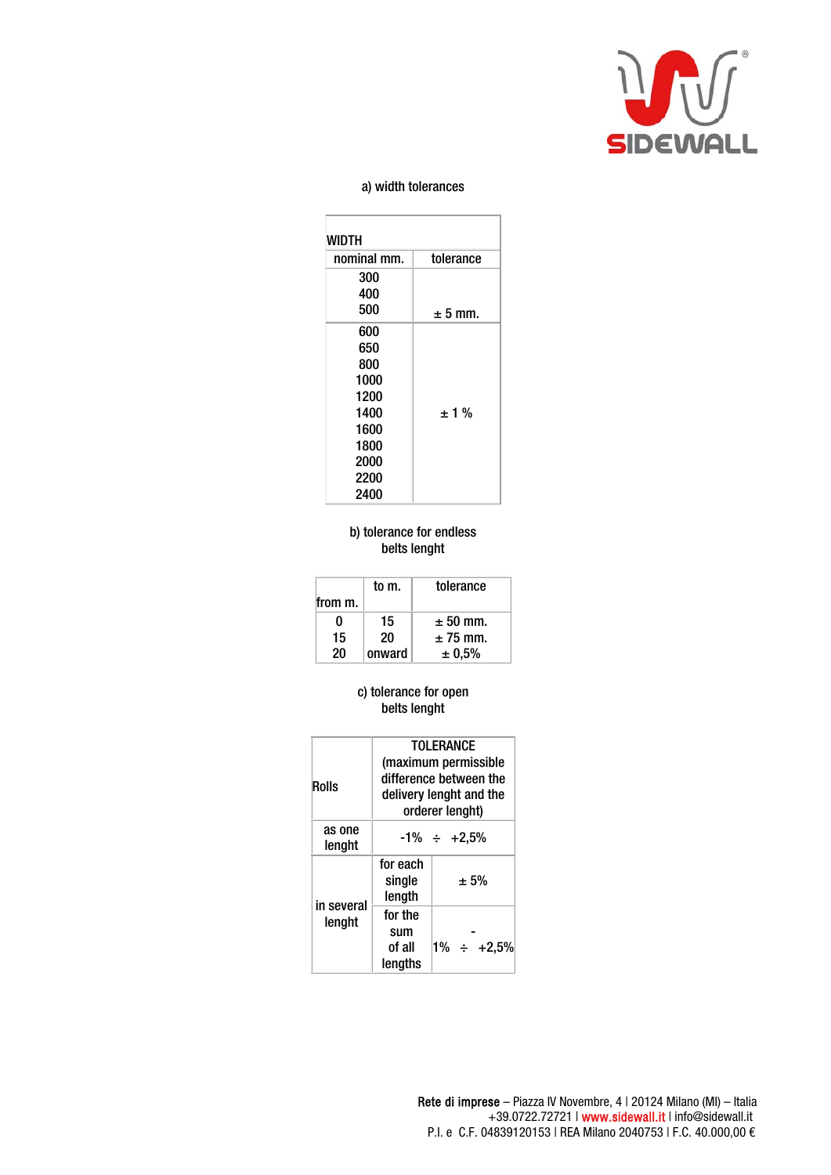

# a) width tolerances

| WIDTH       |           |  |  |
|-------------|-----------|--|--|
| nominal mm. | tolerance |  |  |
| 300         |           |  |  |
| 400         |           |  |  |
| 500         | $± 5$ mm. |  |  |
| 600         |           |  |  |
| 650         |           |  |  |
| 800         |           |  |  |
| 1000        |           |  |  |
| 1200        |           |  |  |
| 1400        | $±1\%$    |  |  |
| 1600        |           |  |  |
| 1800        |           |  |  |
| 2000        |           |  |  |
| 2200        |           |  |  |
| 2400        |           |  |  |

# b) tolerance for endless belts lenght

|              | to m.  | tolerance    |
|--------------|--------|--------------|
| from m.      |        |              |
| $\mathbf{0}$ | 15     | $\pm 50$ mm. |
| 15           | 20     | $± 75$ mm.   |
| 20           | onward | ± 0.5%       |

### c) tolerance for open belts lenght

| <b>Rolls</b>         | <b>TOLERANCE</b><br>(maximum permissible<br>difference between the<br>delivery lenght and the<br>orderer lenght) |                    |  |
|----------------------|------------------------------------------------------------------------------------------------------------------|--------------------|--|
| as one<br>lenght     |                                                                                                                  | $-1\% \div +2.5\%$ |  |
|                      | for each<br>single<br>length                                                                                     | ± 5%               |  |
| in several<br>lenght | for the                                                                                                          |                    |  |
|                      | sum                                                                                                              |                    |  |
|                      | of all                                                                                                           | $1\% \div +2.5\%$  |  |
|                      | lengths                                                                                                          |                    |  |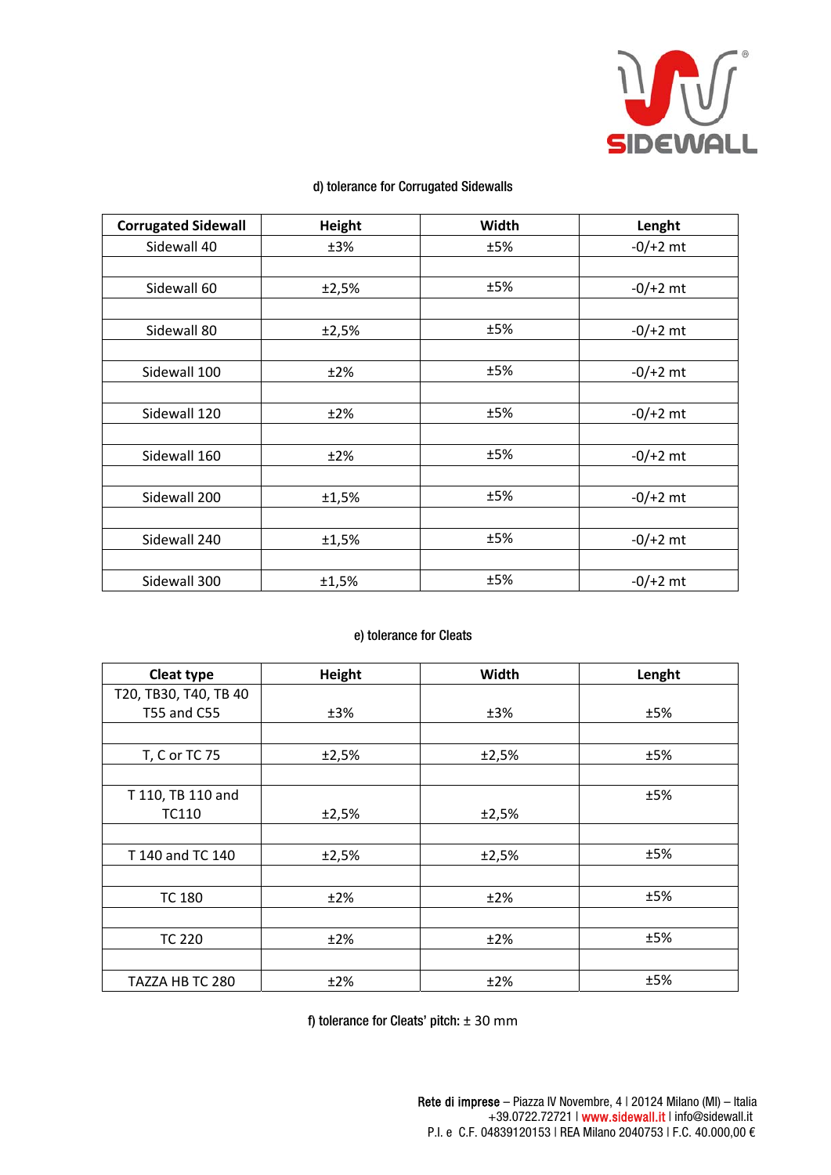

| <b>Corrugated Sidewall</b> | <b>Height</b> | Width | Lenght     |
|----------------------------|---------------|-------|------------|
| Sidewall 40                | ±3%           | ±5%   | $-0/+2$ mt |
|                            |               |       |            |
| Sidewall 60                | ±2,5%         | ±5%   | $-0/+2$ mt |
|                            |               |       |            |
| Sidewall 80                | ±2,5%         | ±5%   | $-0/+2$ mt |
|                            |               |       |            |
| Sidewall 100               | ±2%           | ±5%   | $-0/+2$ mt |
|                            |               |       |            |
| Sidewall 120               | ±2%           | ±5%   | $-0/+2$ mt |
|                            |               |       |            |
| Sidewall 160               | ±2%           | ±5%   | $-0/+2$ mt |
|                            |               |       |            |
| Sidewall 200               | ±1,5%         | ±5%   | $-0/+2$ mt |
|                            |               |       |            |
| Sidewall 240               | ±1,5%         | ±5%   | $-0/+2$ mt |
|                            |               |       |            |
| Sidewall 300               | ±1,5%         | ±5%   | $-0/+2$ mt |

# d) tolerance for Corrugated Sidewalls

# e) tolerance for Cleats

| Cleat type            | Height | Width | Lenght |
|-----------------------|--------|-------|--------|
| T20, TB30, T40, TB 40 |        |       |        |
| T55 and C55           | ±3%    | ±3%   | ±5%    |
|                       |        |       |        |
| T, C or TC 75         | ±2,5%  | ±2,5% | ±5%    |
|                       |        |       |        |
| T 110, TB 110 and     |        |       | ±5%    |
| TC110                 | ±2,5%  | ±2,5% |        |
|                       |        |       |        |
| T 140 and TC 140      | ±2,5%  | ±2,5% | ±5%    |
|                       |        |       |        |
| <b>TC 180</b>         | ±2%    | ±2%   | ±5%    |
|                       |        |       |        |
| <b>TC 220</b>         | ±2%    | ±2%   | ±5%    |
|                       |        |       |        |
| TAZZA HB TC 280       | ±2%    | ±2%   | ±5%    |

f) tolerance for Cleats' pitch:  $\pm$  30 mm